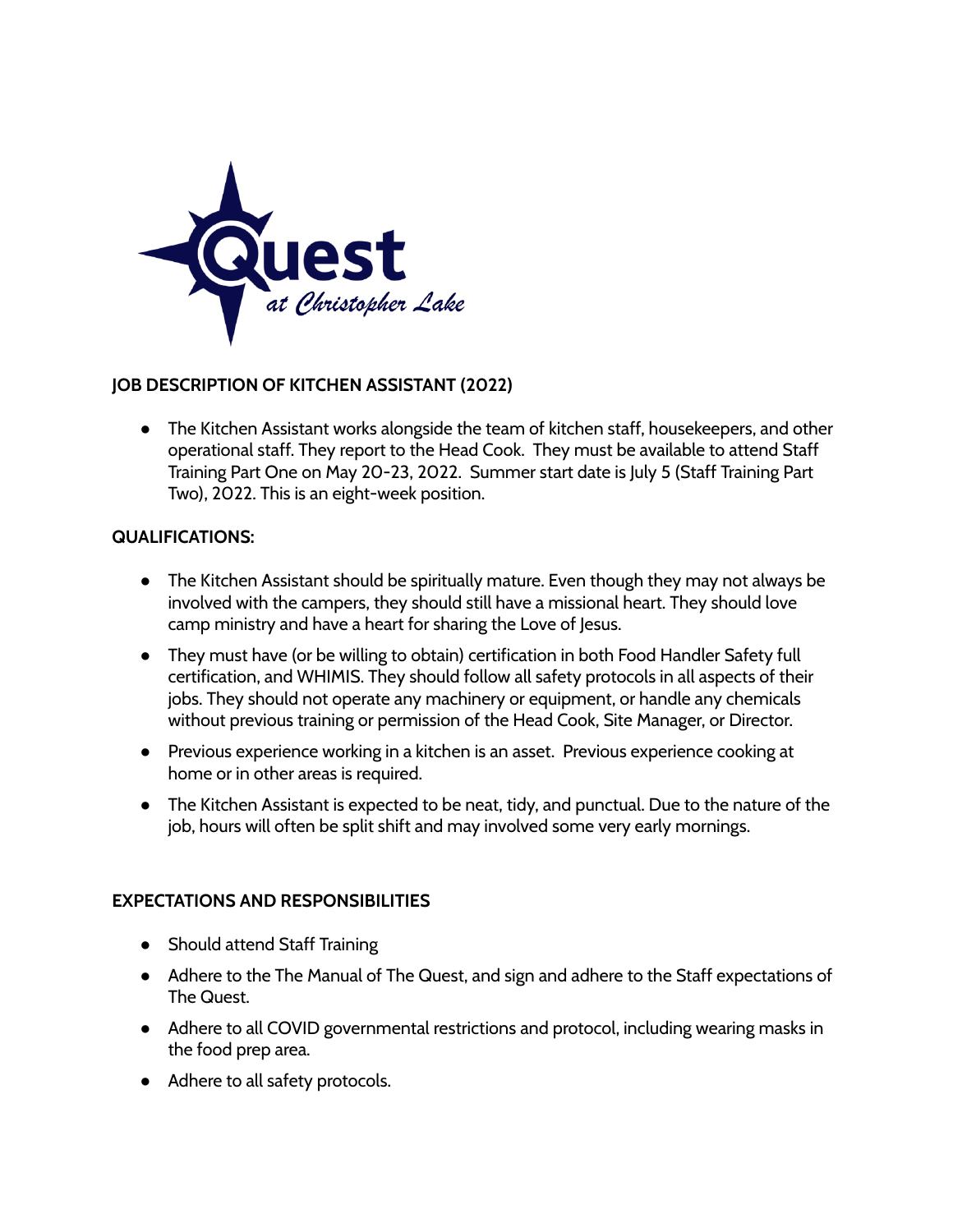

## **JOB DESCRIPTION OF KITCHEN ASSISTANT (2022)**

● The Kitchen Assistant works alongside the team of kitchen staff, housekeepers, and other operational staff. They report to the Head Cook. They must be available to attend Staff Training Part One on May 20-23, 2022. Summer start date is July 5 (Staff Training Part Two), 2022. This is an eight-week position.

## **QUALIFICATIONS:**

- The Kitchen Assistant should be spiritually mature. Even though they may not always be involved with the campers, they should still have a missional heart. They should love camp ministry and have a heart for sharing the Love of Jesus.
- They must have (or be willing to obtain) certification in both Food Handler Safety full certification, and WHIMIS. They should follow all safety protocols in all aspects of their jobs. They should not operate any machinery or equipment, or handle any chemicals without previous training or permission of the Head Cook, Site Manager, or Director.
- Previous experience working in a kitchen is an asset. Previous experience cooking at home or in other areas is required.
- The Kitchen Assistant is expected to be neat, tidy, and punctual. Due to the nature of the job, hours will often be split shift and may involved some very early mornings.

## **EXPECTATIONS AND RESPONSIBILITIES**

- Should attend Staff Training
- Adhere to the The Manual of The Quest, and sign and adhere to the Staff expectations of The Quest.
- Adhere to all COVID governmental restrictions and protocol, including wearing masks in the food prep area.
- Adhere to all safety protocols.